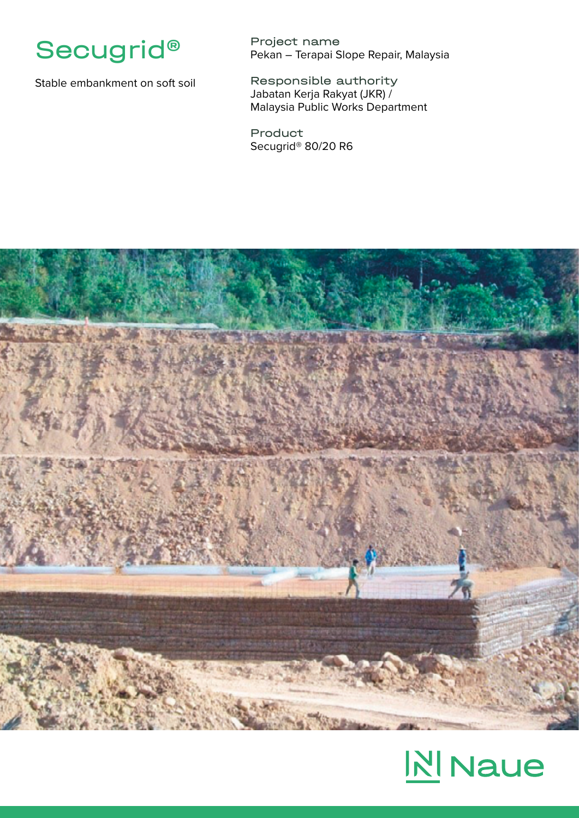

Stable embankment on soft soil

Project name Pekan – Terapai Slope Repair, Malaysia

Responsible authority Jabatan Kerja Rakyat (JKR) / Malaysia Public Works Department

Product Secugrid® 80/20 R6



## **N** Naue